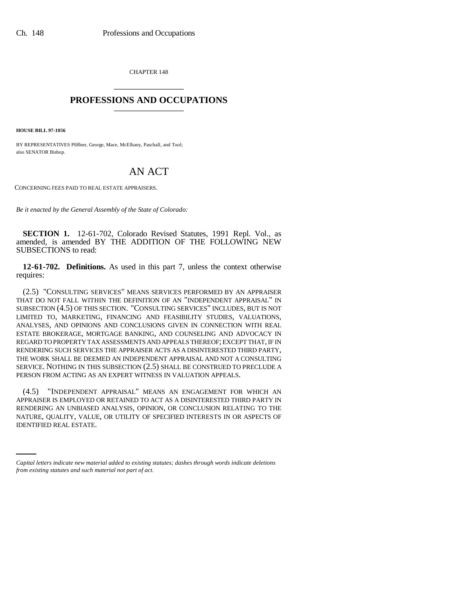CHAPTER 148 \_\_\_\_\_\_\_\_\_\_\_\_\_\_\_

## **PROFESSIONS AND OCCUPATIONS** \_\_\_\_\_\_\_\_\_\_\_\_\_\_\_

**HOUSE BILL 97-1056**

BY REPRESENTATIVES Pfiffner, George, Mace, McElhany, Paschall, and Tool; also SENATOR Bishop.

## AN ACT

CONCERNING FEES PAID TO REAL ESTATE APPRAISERS.

*Be it enacted by the General Assembly of the State of Colorado:*

**SECTION 1.** 12-61-702, Colorado Revised Statutes, 1991 Repl. Vol., as amended, is amended BY THE ADDITION OF THE FOLLOWING NEW SUBSECTIONS to read:

**12-61-702. Definitions.** As used in this part 7, unless the context otherwise requires:

(2.5) "CONSULTING SERVICES" MEANS SERVICES PERFORMED BY AN APPRAISER THAT DO NOT FALL WITHIN THE DEFINITION OF AN "INDEPENDENT APPRAISAL" IN SUBSECTION (4.5) OF THIS SECTION. "CONSULTING SERVICES" INCLUDES, BUT IS NOT LIMITED TO, MARKETING, FINANCING AND FEASIBILITY STUDIES, VALUATIONS, ANALYSES, AND OPINIONS AND CONCLUSIONS GIVEN IN CONNECTION WITH REAL ESTATE BROKERAGE, MORTGAGE BANKING, AND COUNSELING AND ADVOCACY IN REGARD TO PROPERTY TAX ASSESSMENTS AND APPEALS THEREOF; EXCEPT THAT, IF IN RENDERING SUCH SERVICES THE APPRAISER ACTS AS A DISINTERESTED THIRD PARTY, THE WORK SHALL BE DEEMED AN INDEPENDENT APPRAISAL AND NOT A CONSULTING SERVICE. NOTHING IN THIS SUBSECTION (2.5) SHALL BE CONSTRUED TO PRECLUDE A PERSON FROM ACTING AS AN EXPERT WITNESS IN VALUATION APPEALS.

NATURE, QUALITY, VALUE, OR UTILITY OF SPECIFIED INTERESTS IN OR ASPECTS OF (4.5) "INDEPENDENT APPRAISAL" MEANS AN ENGAGEMENT FOR WHICH AN APPRAISER IS EMPLOYED OR RETAINED TO ACT AS A DISINTERESTED THIRD PARTY IN RENDERING AN UNBIASED ANALYSIS, OPINION, OR CONCLUSION RELATING TO THE IDENTIFIED REAL ESTATE.

*Capital letters indicate new material added to existing statutes; dashes through words indicate deletions from existing statutes and such material not part of act.*